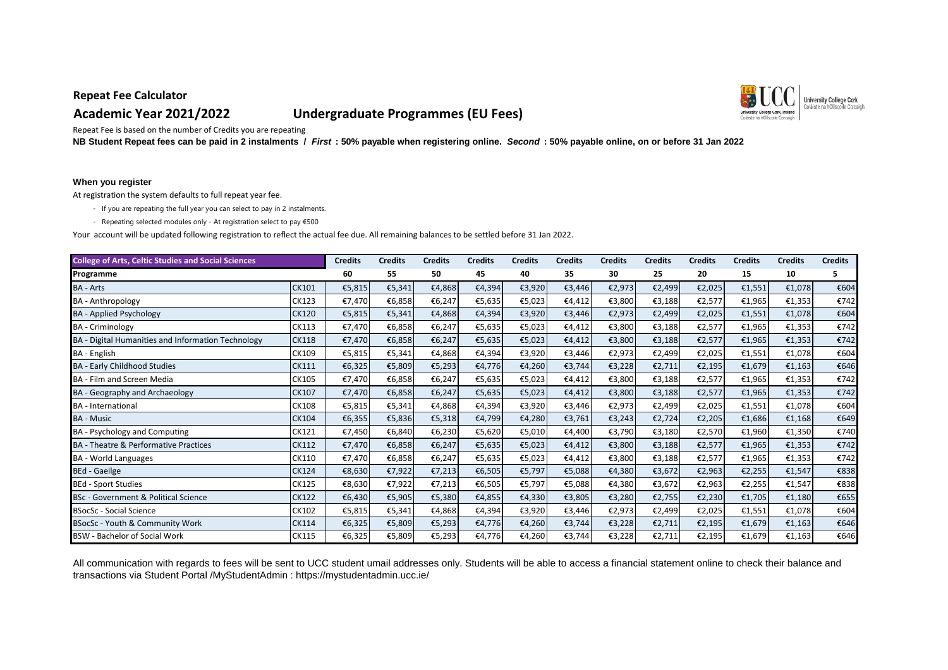# **Academic Year 2021/2022 Undergraduate Programmes (EU Fees)**



Repeat Fee is based on the number of Credits you are repeating

**NB Student Repeat fees can be paid in 2 instalments /** *First* **: 50% payable when registering online.** *Second* **: 50% payable online, on or before 31 Jan 2022** 

#### **When you register**

At registration the system defaults to full repeat year fee.

- If you are repeating the full year you can select to pay in 2 instalments.
- Repeating selected modules only At registration select to pay €500

Your account will be updated following registration to reflect the actual fee due. All remaining balances to be settled before 31 Jan 2022.

| <b>College of Arts, Celtic Studies and Social Sciences</b> |              | <b>Credits</b> | <b>Credits</b> | <b>Credits</b> | <b>Credits</b> | <b>Credits</b> | <b>Credits</b> | <b>Credits</b> | <b>Credits</b> | <b>Credits</b> | <b>Credits</b> | <b>Credits</b> | <b>Credits</b> |
|------------------------------------------------------------|--------------|----------------|----------------|----------------|----------------|----------------|----------------|----------------|----------------|----------------|----------------|----------------|----------------|
| Programme                                                  |              | 60             | 55             | 50             | 45             | 40             | 35             | 30             | 25             | 20             | 15             | 10             | 5              |
| <b>BA - Arts</b>                                           | CK101        | €5,815         | €5,341         | €4,868         | €4,394         | €3,920         | €3,446         | €2,973         | €2,499         | €2,025         | €1,551         | €1,078         | €604           |
| <b>BA</b> - Anthropology                                   | CK123        | €7,470         | €6,858         | €6,247         | €5,635         | €5,023         | €4,412         | €3,800         | €3,188         | €2,577         | €1,965         | €1,353         | €742           |
| <b>BA</b> - Applied Psychology                             | <b>CK120</b> | €5,815         | €5,341         | €4,868         | €4,394         | €3,920         | €3,446         | €2,973         | €2,499         | €2,025         | €1,551         | €1,078         | €604           |
| <b>BA</b> - Criminology                                    | CK113        | €7,470         | €6,858         | €6,247         | €5,635         | €5,023         | €4,412         | €3,800         | €3,188         | €2,577         | €1,965         | €1,353         | €742           |
| BA - Digital Humanities and Information Technology         | <b>CK118</b> | €7,470         | €6,858         | €6,247         | €5,635         | €5,023         | €4,412         | €3,800         | €3,188         | €2,577         | €1,965         | €1,353         | €742           |
| BA - English                                               | CK109        | €5,815         | €5,341         | €4,868         | €4,394         | €3,920         | €3,446         | €2,973         | €2,499         | €2,025         | €1,551         | €1,078         | €604           |
| <b>BA - Early Childhood Studies</b>                        | CK111        | €6,325         | €5,809         | €5,293         | €4,776         | €4,260         | €3,744         | €3,228         | €2,711         | €2,195         | €1,679         | €1,163         | €646           |
| BA - Film and Screen Media                                 | CK105        | €7,470         | €6,858         | €6,247         | €5,635         | €5,023         | €4,412         | €3,800         | €3,188         | €2,577         | €1,965         | €1,353         | €742           |
| BA - Geography and Archaeology                             | CK107        | €7,470         | €6,858         | €6,247         | €5,635         | €5,023         | €4,412         | €3,800         | €3,188         | €2,577         | €1,965         | €1,353         | €742           |
| <b>BA</b> - International                                  | CK108        | €5,815         | €5,341         | €4,868         | €4,394         | €3,920         | €3,446         | €2,973         | €2,499         | €2,025         | €1,551         | €1,078         | €604           |
| <b>BA - Music</b>                                          | CK104        | €6,355         | €5,836         | €5,318         | €4,799         | €4,280         | €3,761         | €3,243         | €2,724         | €2,205         | €1,686         | €1,168         | €649           |
| BA - Psychology and Computing                              | CK121        | €7,450         | €6,840         | €6,230         | €5,620         | €5,010         | €4,400         | €3,790         | €3,180         | €2,570         | €1,960         | €1,350         | €740           |
| <b>BA</b> - Theatre & Performative Practices               | CK112        | €7,470         | €6,858         | €6,247         | €5,635         | €5,023         | €4,412         | €3,800         | €3,188         | €2,577         | €1,965         | €1,353         | €742           |
| <b>BA</b> - World Languages                                | CK110        | €7,470         | €6,858         | €6,247         | €5,635         | €5,023         | €4,412         | €3,800         | €3,188         | €2,577         | €1,965         | €1,353         | €742           |
| <b>BEd - Gaeilge</b>                                       | <b>CK124</b> | €8,630         | €7,922         | €7,213         | €6,505         | €5,797         | €5,088         | €4,380         | €3,672         | €2,963         | €2,255         | €1,547         | €838           |
| <b>BEd - Sport Studies</b>                                 | CK125        | €8,630         | €7,922         | €7,213         | €6,505         | €5,797         | €5,088         | €4,380         | €3,672         | €2,963         | €2,255         | €1,547         | €838           |
| BSc - Government & Political Science                       | <b>CK122</b> | €6,430         | €5,905         | €5,380         | €4,855         | €4,330         | €3,805         | €3,280         | €2,755         | €2,230         | €1,705         | €1,180         | €655           |
| <b>BSocSc - Social Science</b>                             | CK102        | €5,815         | €5,341         | €4,868         | €4,394         | €3,920         | €3,446         | €2,973         | €2,499         | €2,025         | €1,551         | €1,078         | €604           |
| BSocSc - Youth & Community Work                            | CK114        | €6,325         | €5,809         | €5,293         | €4,776         | €4,260         | €3,744         | €3,228         | €2,711         | €2,195         | €1,679         | €1,163         | €646           |
| <b>BSW - Bachelor of Social Work</b>                       | CK115        | €6,325         | €5,809         | €5,293         | €4,776         | €4,260         | €3,744         | €3,228         | €2,711         | €2,195         | €1,679         | €1,163         | €646           |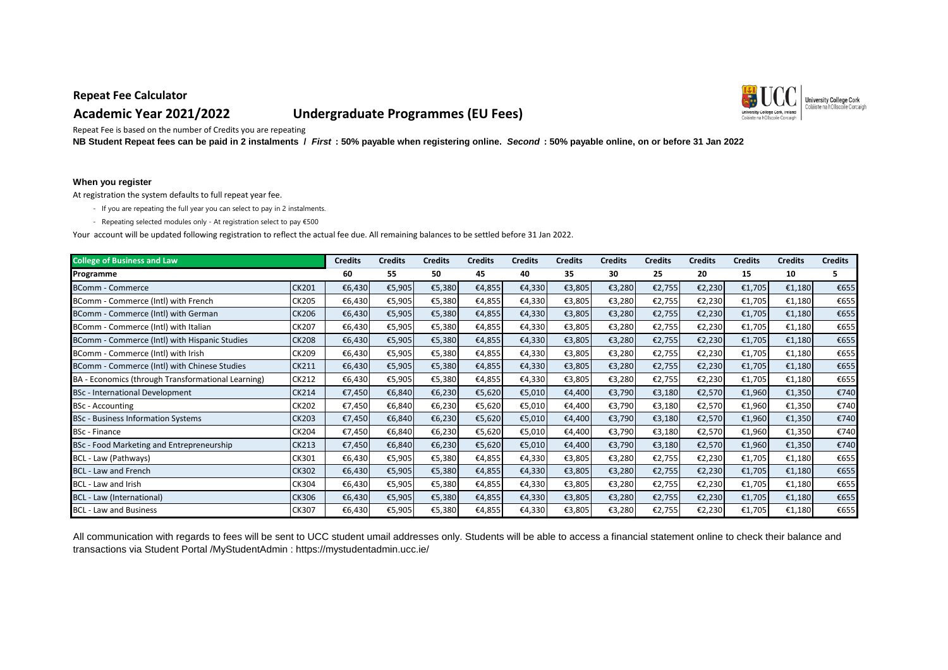# **Academic Year 2021/2022 Undergraduate Programmes (EU Fees)**



Repeat Fee is based on the number of Credits you are repeating

**NB Student Repeat fees can be paid in 2 instalments /** *First* **: 50% payable when registering online.** *Second* **: 50% payable online, on or before 31 Jan 2022** 

#### **When you register**

At registration the system defaults to full repeat year fee.

- If you are repeating the full year you can select to pay in 2 instalments.
- Repeating selected modules only At registration select to pay €500

Your account will be updated following registration to reflect the actual fee due. All remaining balances to be settled before 31 Jan 2022.

| <b>College of Business and Law</b>                 |              | <b>Credits</b> | <b>Credits</b> | <b>Credits</b> | Credits | <b>Credits</b> | <b>Credits</b> | <b>Credits</b> | <b>Credits</b> | <b>Credits</b> | <b>Credits</b> | <b>Credits</b> | <b>Credits</b> |
|----------------------------------------------------|--------------|----------------|----------------|----------------|---------|----------------|----------------|----------------|----------------|----------------|----------------|----------------|----------------|
| Programme                                          |              | 60             | 55             | 50             | 45      | 40             | 35             | 30             | 25             | 20             | 15             | 10             | 5              |
| <b>BComm - Commerce</b>                            | <b>CK201</b> | €6,430         | €5,905         | €5,380         | €4,855  | €4,330         | €3,805         | €3,280         | €2,755         | €2,230         | €1,705         | €1,180         | €655           |
| BComm - Commerce (Intl) with French                | <b>CK205</b> | €6,430         | €5,905         | €5,380         | €4,855  | €4,330         | €3,805         | €3,280         | €2,755         | €2,230         | €1,705         | €1,180         | €655           |
| BComm - Commerce (Intl) with German                | <b>CK206</b> | €6,430         | €5,905         | €5,380         | €4,855  | €4,330         | €3,805         | €3,280         | €2,755         | €2,230         | €1,705         | €1,180         | €655           |
| BComm - Commerce (Intl) with Italian               | CK207        | €6,430         | €5,905         | €5,380         | €4,855  | €4,330         | €3,805         | €3,280         | €2,755         | €2,230         | €1,705         | €1,180         | €655           |
| BComm - Commerce (Intl) with Hispanic Studies      | <b>CK208</b> | €6,430         | €5,905         | €5,380         | €4,855  | €4,330         | €3,805         | €3,280         | €2,755         | €2,230         | €1,705         | €1,180         | €655           |
| BComm - Commerce (Intl) with Irish                 | CK209        | €6,430         | €5,905         | €5,380         | €4,855  | €4,330         | €3,805         | €3,280         | €2,755         | €2,230         | €1,705         | €1,180         | €655           |
| BComm - Commerce (Intl) with Chinese Studies       | <b>CK211</b> | €6,430         | €5,905         | €5,380         | €4,855  | €4,330         | €3,805         | €3,280         | €2,755         | €2,230         | €1,705         | €1,180         | €655           |
| BA - Economics (through Transformational Learning) | CK212        | €6,430         | €5,905         | €5,380         | €4,855  | €4,330         | €3,805         | €3,280         | €2,755         | €2,230         | €1,705         | €1,180         | €655           |
| <b>BSc</b> - International Development             | <b>CK214</b> | €7,450         | €6,840         | €6,230         | €5,620  | €5,010         | €4,400         | €3,790         | €3,180         | €2,570         | €1,960         | €1,350         | €740           |
| <b>BSc</b> - Accounting                            | CK202        | €7,450         | €6,840         | €6,230         | €5,620  | €5,010         | €4,400         | €3,790         | €3,180         | €2,570         | €1,960         | €1,350         | €740           |
| <b>BSc</b> - Business Information Systems          | <b>CK203</b> | €7,450         | €6,840         | €6,230         | €5,620  | €5,010         | €4,400         | €3,790         | €3,180         | €2,570         | €1,960         | €1,350         | €740           |
| <b>BSc</b> - Finance                               | CK204        | €7,450         | €6,840         | €6,230         | €5,620  | €5,010         | €4,400         | €3,790         | €3,180         | €2,570         | €1,960         | €1,350         | €740           |
| BSc - Food Marketing and Entrepreneurship          | <b>CK213</b> | €7,450         | €6,840         | €6,230         | €5,620  | €5,010         | €4,400         | €3,790         | €3,180         | €2,570         | €1,960         | €1,350         | €740           |
| BCL - Law (Pathways)                               | CK301        | €6,430         | €5,905         | €5,380         | €4,855  | €4,330         | €3,805         | €3,280         | €2,755         | €2,230         | €1,705         | €1,180         | €655           |
| <b>BCL - Law and French</b>                        | <b>CK302</b> | €6,430         | €5,905         | €5,380         | €4,855  | €4,330         | €3,805         | €3,280         | €2,755         | €2,230         | €1,705         | €1,180         | €655           |
| BCL - Law and Irish                                | CK304        | €6,430         | €5,905         | €5,380         | €4,855  | €4,330         | €3,805         | €3,280         | €2,755         | €2,230         | €1,705         | €1,180         | €655           |
| BCL - Law (International)                          | <b>CK306</b> | €6,430         | €5,905         | €5,380         | €4,855  | €4,330         | €3,805         | €3,280         | €2,755         | €2,230         | €1,705         | €1,180         | €655           |
| <b>BCL - Law and Business</b>                      | CK307        | €6,430         | €5,905         | €5,380         | €4,855  | €4,330         | €3,805         | €3,280         | €2,755         | €2,230         | €1,705         | €1,180         | €655           |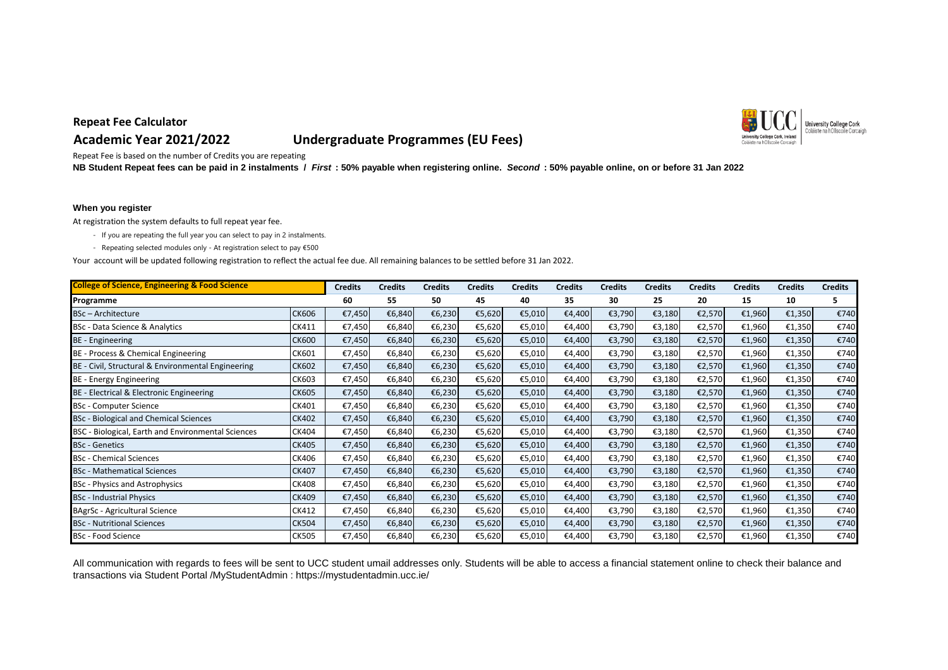# **Academic Year 2021/2022 Undergraduate Programmes (EU Fees)**



Repeat Fee is based on the number of Credits you are repeating

**NB Student Repeat fees can be paid in 2 instalments /** *First* **: 50% payable when registering online.** *Second* **: 50% payable online, on or before 31 Jan 2022** 

#### **When you register**

At registration the system defaults to full repeat year fee.

- If you are repeating the full year you can select to pay in 2 instalments.
- Repeating selected modules only At registration select to pay €500

Your account will be updated following registration to reflect the actual fee due. All remaining balances to be settled before 31 Jan 2022.

| <b>College of Science, Engineering &amp; Food Science</b> |              | <b>Credits</b> | <b>Credits</b> | <b>Credits</b> | Credits | <b>Credits</b> | <b>Credits</b> | <b>Credits</b> | <b>Credits</b> | <b>Credits</b> | <b>Credits</b> | <b>Credits</b> | <b>Credits</b> |
|-----------------------------------------------------------|--------------|----------------|----------------|----------------|---------|----------------|----------------|----------------|----------------|----------------|----------------|----------------|----------------|
| Programme                                                 |              | 60             | 55             | 50             | 45      | 40             | 35             | 30             | 25             | 20             | 15             | 10             | 5              |
| <b>BSc-Architecture</b>                                   | <b>CK606</b> | €7,450         | €6,840         | €6,230         | €5,620  | €5,010         | €4,400         | €3,790         | €3,180         | €2,570         | €1,960         | €1,350         | €740           |
| BSc - Data Science & Analytics                            | CK411        | €7,450         | €6,840         | €6,230         | €5,620  | €5,010         | €4,400         | €3,790         | €3,180         | €2,570         | €1,960         | €1,350         | €740           |
| <b>BE</b> - Engineering                                   | <b>CK600</b> | €7,450         | €6,840         | €6,230         | €5,620  | €5,010         | €4,400         | €3,790         | €3,180         | €2,570         | €1,960         | €1,350         | €740           |
| BE - Process & Chemical Engineering                       | CK601        | €7,450         | €6,840         | €6,230         | €5,620  | €5,010         | €4,400         | €3,790         | €3,180         | €2,570         | €1,960         | €1,350         | €740           |
| BE - Civil, Structural & Environmental Engineering        | <b>CK602</b> | €7,450         | €6,840         | €6,230         | €5,620  | €5,010         | €4,400         | €3,790         | €3,180         | €2,570         | €1,960         | €1,350         | €740           |
| BE - Energy Engineering                                   | CK603        | €7,450         | €6,840         | €6,230         | €5,620  | €5,010         | €4,400         | €3,790         | €3,180         | €2,570         | €1,960         | €1,350         | €740           |
| BE - Electrical & Electronic Engineering                  | <b>CK605</b> | €7,450         | €6,840         | €6,230         | €5,620  | €5,010         | €4,400         | €3,790         | €3,180         | €2,570         | €1,960         | €1,350         | €740           |
| <b>BSc - Computer Science</b>                             | CK401        | €7,450         | €6,840         | €6,230         | €5,620  | €5,010         | €4,400         | €3,790         | €3,180         | €2,570         | €1,960         | €1,350         | €740           |
| BSc - Biological and Chemical Sciences                    | <b>CK402</b> | €7,450         | €6,840         | €6,230         | €5,620  | €5,010         | €4,400         | €3,790         | €3,180         | €2,570         | €1,960         | €1,350         | €740           |
| BSC - Biological, Earth and Environmental Sciences        | CK404        | €7,450         | €6,840         | €6,230         | €5,620  | €5,010         | €4,400         | €3,790         | €3,180         | €2,570         | €1,960         | €1,350         | €740           |
| <b>BSc</b> - Genetics                                     | <b>CK405</b> | €7,450         | €6,840         | €6,230         | €5,620  | €5,010         | €4,400         | €3,790         | €3,180         | €2,570         | €1,960         | €1,350         | €740           |
| <b>BSc</b> - Chemical Sciences                            | CK406        | €7,450         | €6,840         | €6,230         | €5,620  | €5,010         | €4,400         | €3,790         | €3,180         | €2,570         | €1,960         | €1,350         | €740           |
| <b>BSc</b> - Mathematical Sciences                        | <b>CK407</b> | €7,450         | €6,840         | €6,230         | €5,620  | €5,010         | €4,400         | €3,790         | €3,180         | €2,570         | €1,960         | €1,350         | €740           |
| BSc - Physics and Astrophysics                            | <b>CK408</b> | €7,450         | €6,840         | €6,230         | €5,620  | €5,010         | €4,400         | €3,790         | €3,180         | €2,570         | €1,960         | €1,350         | €740           |
| <b>BSc</b> - Industrial Physics                           | CK409        | €7,450         | €6,840         | €6,230         | €5,620  | €5,010         | €4,400         | €3,790         | €3,180         | €2,570         | €1,960         | €1,350         | €740           |
| BAgrSc - Agricultural Science                             | CK412        | €7,450         | €6,840         | €6,230         | €5,620  | €5,010         | €4,400         | €3,790         | €3,180         | €2,570         | €1,960         | €1,350         | €740           |
| <b>BSc - Nutritional Sciences</b>                         | <b>CK504</b> | €7,450         | €6,840         | €6,230         | €5,620  | €5,010         | €4,400         | €3,790         | €3,180         | €2,570         | €1,960         | €1,350         | €740           |
| <b>BSc - Food Science</b>                                 | <b>CK505</b> | €7,450         | €6,840         | €6,230         | €5,620  | €5,010         | €4,400         | €3,790         | €3,180         | €2,570         | €1,960         | €1,350         | €740           |